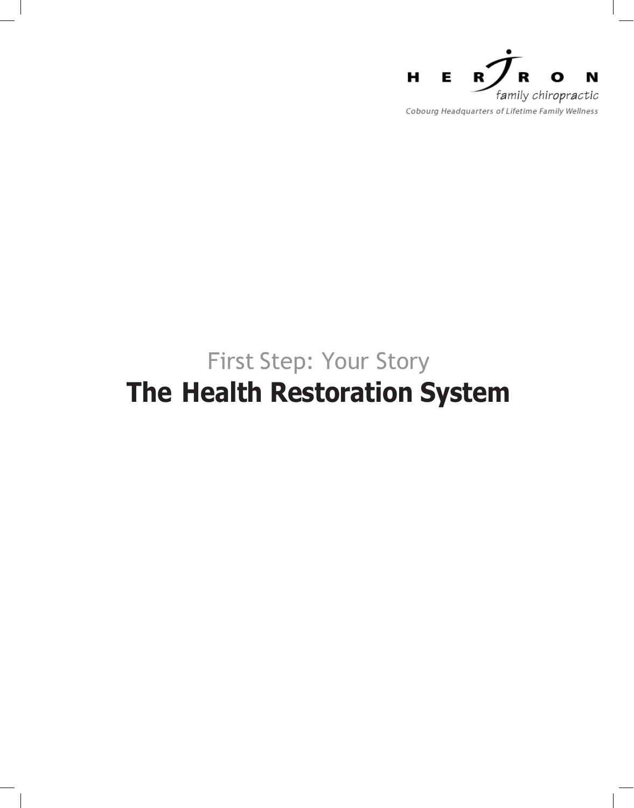

## First Step: Your Story **The Health Restoration System**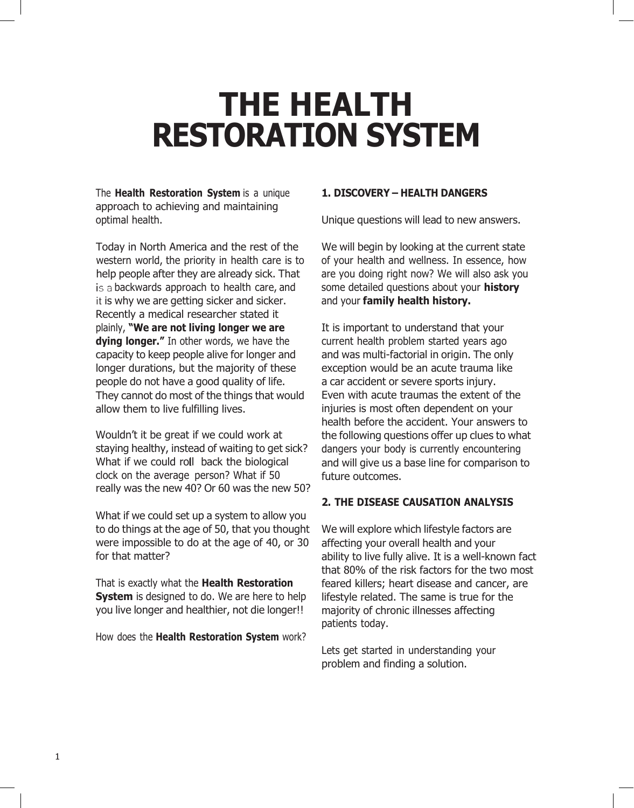# **THE HEALTH RESTORATION SYSTEM**

The **Health Restoration System** is a unique approach to achieving and maintaining optimal health.

Today in North America and the rest of the western world, the priority in health care is to help people after they are already sick. That is a backwards approach to health care, and it is why we are getting sicker and sicker. Recently a medical researcher stated it plainly, **"We are not living longer we are dying longer."** In other words, we have the capacity to keep people alive for longer and longer durations, but the majority of these people do not have a good quality of life. They cannot do most of the things that would allow them to live fulfilling lives.

Wouldn't it be great if we could work at staying healthy, instead of waiting to get sick? What if we could roll back the biological clock on the average person? What if 50 really was the new 40? Or 60 was the new 50?

What if we could set up a system to allow you to do things at the age of 50, that you thought were impossible to do at the age of 40, or 30 for that matter?

That is exactly what the **Health Restoration System** is designed to do. We are here to help you live longer and healthier, not die longer!!

How does the **Health Restoration System** work?

#### **1. DISCOVERY – HEALTH DANGERS**

Unique questions will lead to new answers.

We will begin by looking at the current state of your health and wellness. In essence, how are you doing right now? We will also ask you some detailed questions about your **history** and your **family health history.**

It is important to understand that your current health problem started years ago and was multi-factorial in origin. The only exception would be an acute trauma like a car accident or severe sports injury. Even with acute traumas the extent of the injuries is most often dependent on your health before the accident. Your answers to the following questions offer up clues to what dangers your body is currently encountering and will give us a base line for comparison to future outcomes.

#### **2. THE DISEASE CAUSATION ANALYSIS**

We will explore which lifestyle factors are affecting your overall health and your ability to live fully alive. It is a well-known fact that 80% of the risk factors for the two most feared killers; heart disease and cancer, are lifestyle related. The same is true for the majority of chronic illnesses affecting patients today.

Lets get started in understanding your problem and finding a solution.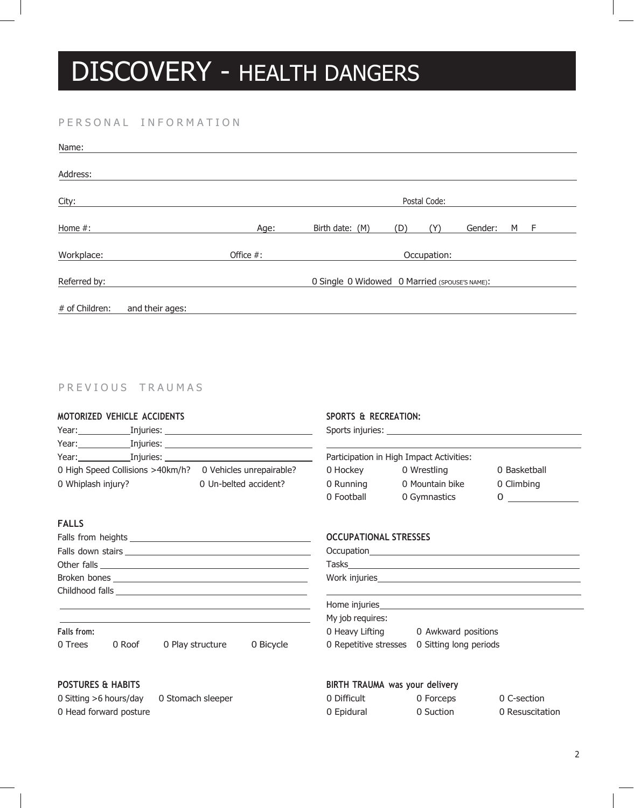# DISCOVERY - HEALTH DANGERS

#### PERSONAL INFORMATION

| Name:          |                 |                                               |                 |     |     |         |   |   |  |
|----------------|-----------------|-----------------------------------------------|-----------------|-----|-----|---------|---|---|--|
| Address:       |                 |                                               |                 |     |     |         |   |   |  |
| City:          |                 |                                               | Postal Code:    |     |     |         |   |   |  |
| Home #:        |                 | Age:                                          | Birth date: (M) | (D) | (Y) | Gender: | M | F |  |
| Workplace:     |                 | Office #:                                     | Occupation:     |     |     |         |   |   |  |
| Referred by:   |                 | O Single O Widowed O Married (SPOUSE'S NAME): |                 |     |     |         |   |   |  |
| # of Children: | and their ages: |                                               |                 |     |     |         |   |   |  |

#### PREVIOUS TRAUMAS

#### **MOTORIZED VEHICLE ACCIDENTS**

|                                                                                                                                                                                                                                | Year: Injuries: Installectual Library Sears                                                                                                                                                                                    |                          |
|--------------------------------------------------------------------------------------------------------------------------------------------------------------------------------------------------------------------------------|--------------------------------------------------------------------------------------------------------------------------------------------------------------------------------------------------------------------------------|--------------------------|
|                                                                                                                                                                                                                                | Year: Injuries: Installation of the Theorem Installation of the Theorem Installation of the Theorem Installation of the Theorem Installation of the Theorem Installation of the Theorem Installation of the Theorem Installati |                          |
| Year: when the control of the control of the control of the control of the control of the control of the control of the control of the control of the control of the control of the control of the control of the control of t | Injuries: The control of the control of the control of the control of the control of the control of the control of the control of the control of the control of the control of the control of the control of the control of th |                          |
|                                                                                                                                                                                                                                | 0 High Speed Collisions >40km/h?                                                                                                                                                                                               | 0 Vehicles unrepairable? |
| 0 Whiplash injury?                                                                                                                                                                                                             |                                                                                                                                                                                                                                | 0 Un-belted accident?    |

#### **FALLS**

| Broken bones and the state of the state of the state of the state of the state of the state of the state of the |
|-----------------------------------------------------------------------------------------------------------------|
|                                                                                                                 |
|                                                                                                                 |

#### **Falls from:**

0 Trees 0 Roof 0 Play structure 0 Bicycle

#### **POSTURES & HABITS**

0 Sitting >6 hours/day 0 Stomach sleeper 0 Head forward posture

#### **SPORTS & RECREATION:**

Sports injuries: \_\_

| Participation in High Impact Activities: |                 |              |  |  |
|------------------------------------------|-----------------|--------------|--|--|
| 0 Hockey                                 | 0 Wrestling     | 0 Basketball |  |  |
| 0 Running                                | 0 Mountain bike | 0 Climbing   |  |  |
| 0 Football                               | 0 Gymnastics    | $\mathbf{O}$ |  |  |

#### **OCCUPATIONAL STRESSES**

| Home injuries_ |  |  |
|----------------|--|--|

### My job requires: 0 Heavy Lifting **0 Awkward positions**

### 0 Repetitive stresses 0 Sitting long periods

### **BIRTH TRAUMA was your delivery**

| 0 Difficult | 0 Forceps | 0 C-section     |
|-------------|-----------|-----------------|
| 0 Epidural  | 0 Suction | 0 Resuscitation |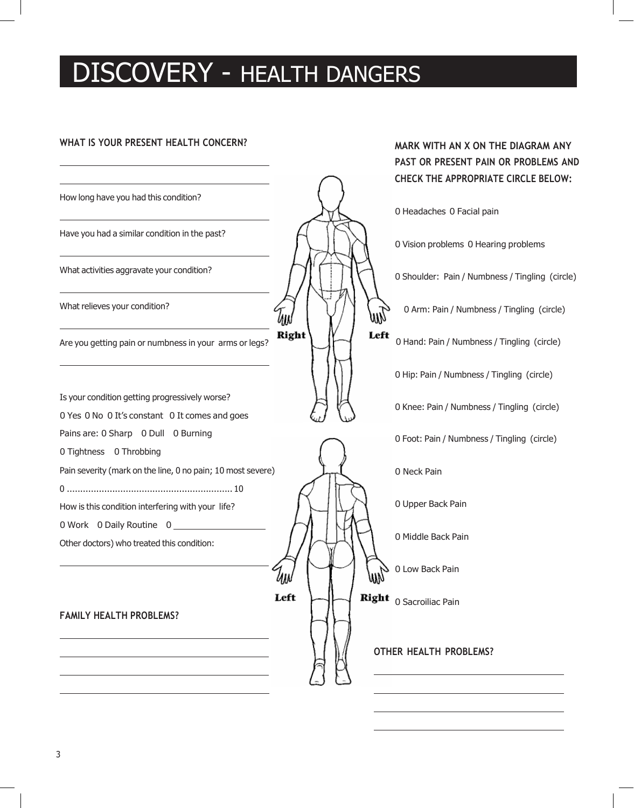## DISCOVERY - HEALTH DANGERS

#### **WHAT IS YOUR PRESENT HEALTH CONCERN?**



3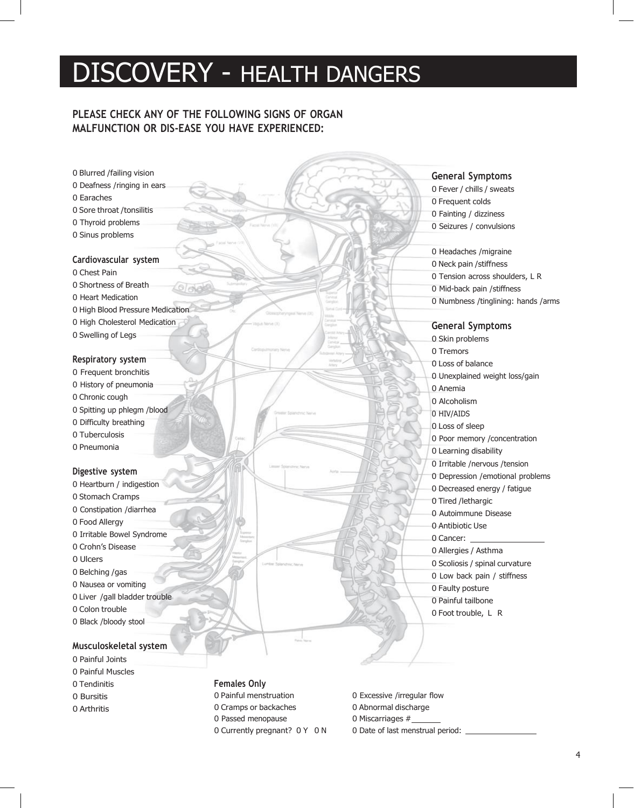## DISCOVERY - HEALTH DANGERS

#### **PLEASE CHECK ANY OF THE FOLLOWING SIGNS OF ORGAN MALFUNCTION OR DIS-EASE YOU HAVE EXPERIENCED:**

 Blurred /failing vision Deafness /ringing in ears Earaches Sore throat /tonsilitis Thyroid problems Sinus problems **Cardiovascular system** Chest Pain Shortness of Breath Heart Medication High Blood Pressure Medication High Cholesterol Medication Swelling of Legs **Respiratory system** Frequent bronchitis History of pneumonia Chronic cough Spitting up phlegm /blood Difficulty breathing Tuberculosis Pneumonia **Digestive system** Heartburn / indigestion Stomach Cramps Constipation /diarrhea Food Allergy Irritable Bowel Syndrome Crohn's Disease Ulcers Belching /gas Nausea or vomiting Liver /gall bladder trouble Colon trouble Black /bloody stool

#### **Musculoskeletal system**

- Painful Joints
- Painful Muscles
- Tendinitis
- Bursitis
- Arthritis

#### **Females Only**

 Painful menstruation 0 Excessive /irregular flow 0 Cramps or backaches 0 Abnormal discharge 0 Passed menopause 0 Miscarriages  $#$ 0 Currently pregnant? 0 Y 0 N 0 Date of last menstrual period:

- 
- 
- 

#### **General Symptoms**

 Fever / chills / sweats Frequent colds Fainting / dizziness Seizures / convulsions Headaches /migraine Neck pain /stiffness

 Tension across shoulders, L R Mid-back pain /stiffness Numbness /tinglining: hands /arms

**General Symptoms**

 Skin problems Tremors Loss of balance Unexplained weight loss/gain Anemia Alcoholism HIV/AIDS Loss of sleep Poor memory /concentration Learning disability Irritable /nervous /tension Depression /emotional problems Decreased energy / fatigue Tired /lethargic Autoimmune Disease Antibiotic Use Cancer: Allergies / Asthma Scoliosis / spinal curvature Low back pain / stiffness Faulty posture Painful tailbone Foot trouble, L R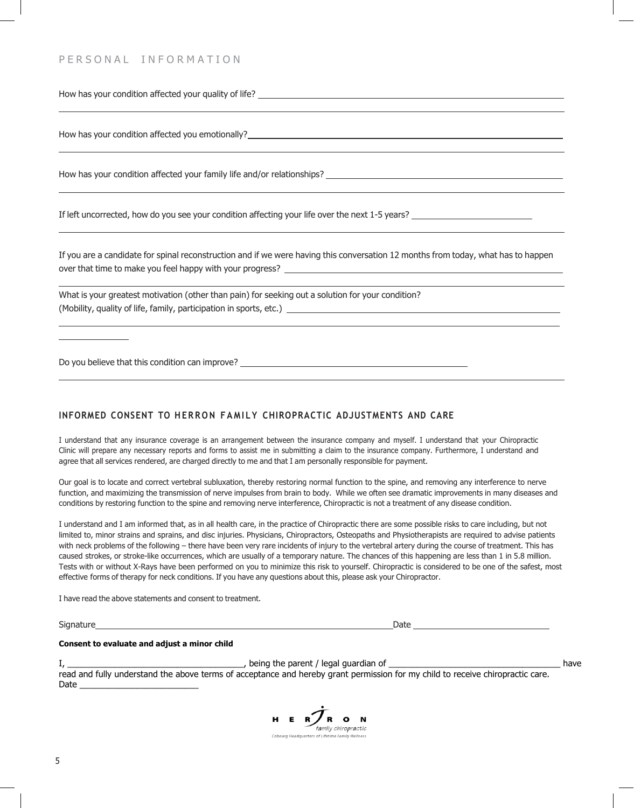#### PERSONAL INFORMATION

How has your condition affected your quality of life? \_\_\_\_\_\_\_\_\_\_\_\_\_\_\_\_\_\_\_\_\_\_\_\_\_\_

How has your condition affected you emotionally?<br>
How has your condition affected you emotionally?

How has your condition affected your family life and/or relationships?

If left uncorrected, how do you see your condition affecting your life over the next 1-5 years?

If you are a candidate for spinal reconstruction and if we were having this conversation 12 months from today, what has to happen over that time to make you feel happy with your progress?

What is your greatest motivation (other than pain) for seeking out a solution for your condition? (Mobility, quality of life, family, participation in sports, etc.)

Do you believe that this condition can improve? \_\_\_\_\_\_\_\_

#### **INFORMED CONSENT TO HE R R O N F A M I L Y CHIROPRACTIC ADJUSTMENTS AND CARE**

I understand that any insurance coverage is an arrangement between the insurance company and myself. I understand that your Chiropractic Clinic will prepare any necessary reports and forms to assist me in submitting a claim to the insurance company. Furthermore, I understand and agree that all services rendered, are charged directly to me and that I am personally responsible for payment.

Our goal is to locate and correct vertebral subluxation, thereby restoring normal function to the spine, and removing any interference to nerve function, and maximizing the transmission of nerve impulses from brain to body. While we often see dramatic improvements in many diseases and conditions by restoring function to the spine and removing nerve interference, Chiropractic is not a treatment of any disease condition.

I understand and I am informed that, as in all health care, in the practice of Chiropractic there are some possible risks to care including, but not limited to, minor strains and sprains, and disc injuries. Physicians, Chiropractors, Osteopaths and Physiotherapists are required to advise patients with neck problems of the following – there have been very rare incidents of injury to the vertebral artery during the course of treatment. This has caused strokes, or stroke-like occurrences, which are usually of a temporary nature. The chances of this happening are less than 1 in 5.8 million. Tests with or without X-Rays have been performed on you to minimize this risk to yourself. Chiropractic is considered to be one of the safest, most effective forms of therapy for neck conditions. If you have any questions about this, please ask your Chiropractor.

I have read the above statements and consent to treatment.

Signature **Date** 

#### **Consent to evaluate and adjust a minor child**

I, \_\_\_\_\_\_\_\_\_\_\_\_\_\_\_\_\_\_\_\_\_\_\_\_\_\_\_\_\_\_\_\_\_\_\_\_\_, being the parent / legal guardian of \_\_\_\_\_\_\_\_\_\_\_\_\_\_\_\_\_\_\_\_\_\_\_\_\_\_\_\_\_\_\_\_\_\_\_\_ have read and fully understand the above terms of acceptance and hereby grant permission for my child to receive chiropractic care. Date \_\_\_\_\_\_\_\_\_\_\_\_\_\_\_\_\_\_\_\_\_\_\_\_\_

HER/RON family chiropractic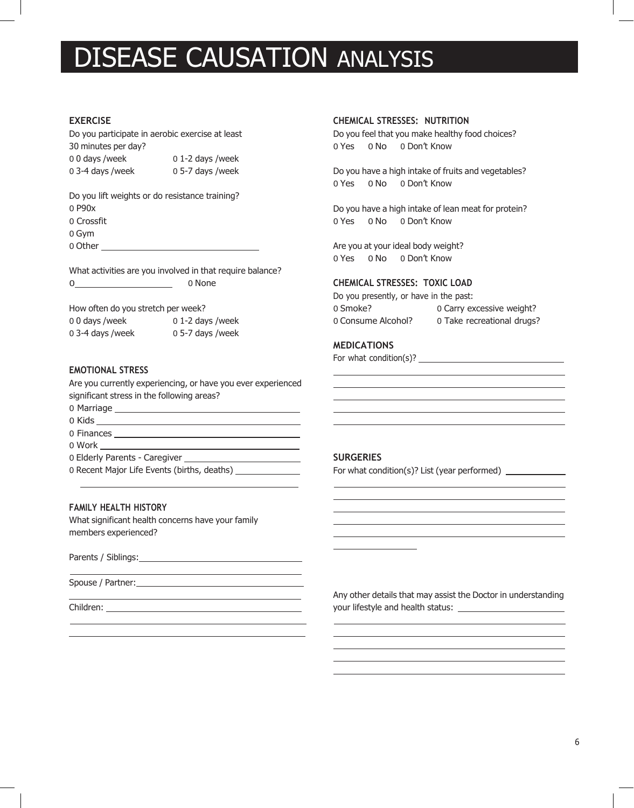## DISEASE CAUSATION ANALYSIS

#### **EXERCISE**

Do you participate in aerobic exercise at least

30 minutes per day? 0 0 days /week 0 1-2 days /week 0 3-4 days /week 0 5-7 days /week

Do you lift weights or do resistance training? 0 P90x 0 Crossfit

0 Gym

0 Other

What activities are you involved in that require balance?

0 0 None

How often do you stretch per week?

0 0 days /week 0 1-2 days /week 0 3-4 days /week 0 5-7 days /week

#### **EMOTIONAL STRESS**

Are you currently experiencing, or have you ever experienced significant stress in the following areas?

- 0 Marriage
- 0 Kids
- 0 Finances
- 0 Work

0 Elderly Parents - Caregiver

0 Recent Major Life Events (births, deaths) \_\_\_\_\_\_\_\_\_\_\_\_\_\_\_

#### **FAMILY HEALTH HISTORY**

What significant health concerns have your family members experienced?

Parents / Siblings:

Spouse / Partner: University of the Spouse / Partner:

Children:

#### **CHEMICAL STRESSES: NUTRITION**

Do you feel that you make healthy food choices? 0 Yes 0 No 0 Don't Know

Do you have a high intake of fruits and vegetables? 0 Yes 0 No 0 Don't Know

Do you have a high intake of lean meat for protein? 0 Yes 0 No 0 Don't Know

Are you at your ideal body weight? 0 Yes 0 No 0 Don't Know

#### **CHEMICAL STRESSES: TOXIC LOAD**

Do you presently, or have in the past: 0 Smoke? 0 Carry excessive weight? 0 Consume Alcohol? 0 Take recreational drugs?

#### **MEDICATIONS**

For what condition(s)?

#### **SURGERIES**

For what condition(s)? List (year performed) \_\_\_\_\_\_\_\_\_\_\_\_\_\_\_\_\_\_\_\_\_\_\_\_\_\_\_\_\_\_\_\_\_\_\_

Any other details that may assist the Doctor in understanding your lifestyle and health status: